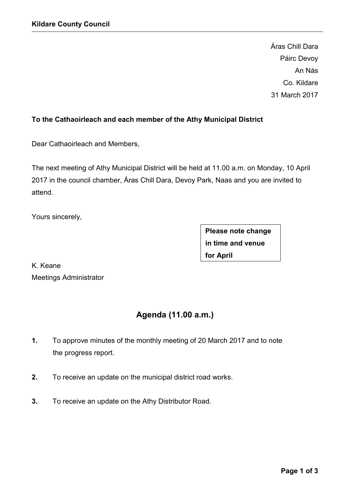Áras Chill Dara Páirc Devoy An Nás Co. Kildare 31 March 2017

## **To the Cathaoirleach and each member of the Athy Municipal District**

Dear Cathaoirleach and Members,

The next meeting of Athy Municipal District will be held at 11.00 a.m. on Monday, 10 April 2017 in the council chamber, Áras Chill Dara, Devoy Park, Naas and you are invited to attend.

Yours sincerely,

**Please note change in time and venue for April**

K. Keane Meetings Administrator

# **Agenda (11.00 a.m.)**

- **1.** To approve minutes of the monthly meeting of 20 March 2017 and to note the progress report.
- **2.** To receive an update on the municipal district road works.
- **3.** To receive an update on the Athy Distributor Road.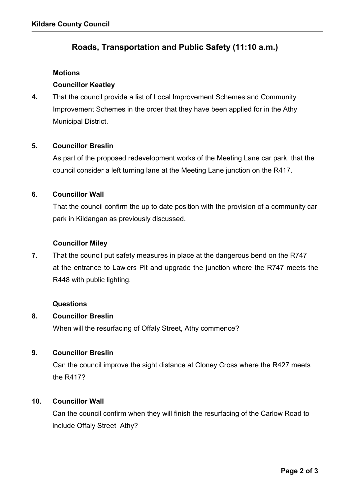## **Roads, Transportation and Public Safety (11:10 a.m.)**

#### **Motions**

## **Councillor Keatley**

**4.** That the council provide a list of Local Improvement Schemes and Community Improvement Schemes in the order that they have been applied for in the Athy Municipal District.

### **5. Councillor Breslin**

As part of the proposed redevelopment works of the Meeting Lane car park, that the council consider a left turning lane at the Meeting Lane junction on the R417.

### **6. Councillor Wall**

That the council confirm the up to date position with the provision of a community car park in Kildangan as previously discussed.

### **Councillor Miley**

**7.** That the council put safety measures in place at the dangerous bend on the R747 at the entrance to Lawlers Pit and upgrade the junction where the R747 meets the R448 with public lighting.

#### **Questions**

## **8. Councillor Breslin**

When will the resurfacing of Offaly Street, Athy commence?

## **9. Councillor Breslin**

Can the council improve the sight distance at Cloney Cross where the R427 meets the R417?

## **10. Councillor Wall**

Can the council confirm when they will finish the resurfacing of the Carlow Road to include Offaly Street Athy?